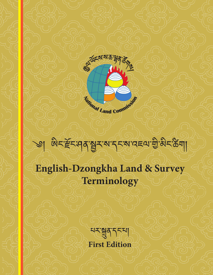

# া জিন্দ্রিন্দের স্থানসমূহ স্বাব্দে জীপ্পনস্ত আ **English-Dzongkha Land & Survey Terminology**

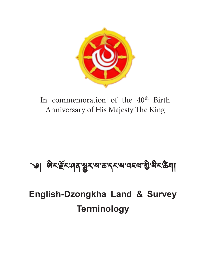

In commemoration of the 40<sup>th</sup> Birth Anniversary of His Majesty The King

# ্ঞ। ଖି<াৰ্দ্ৰঁহ:ন|ৰ'ষ্ট্ৰুহ'ম'ক'ব্চম'ব্ছেম'গ্ৰীজীৱ জীৱা

**English-Dzongkha Land & Survey Terminology**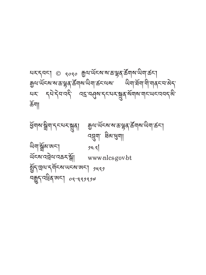ཕྱོགས་སྒྲིག་དང་པར་སྐྲུན། རྒྱལ་ཡོངས་ས་ཆ་ལྷན་ཚོགས་ཡིག་ཚང་། འབྲུག་ ཐིམ་ཕུག། অমার্শ্লুনজন। ১৯৭ ཡོངས་འབྲེལ་འཆར་སྒོ། www.nlcs.gov.bt ষ্ট্ৰিণ ভ্ৰমণ কৰা আৰু নিজা কৰা আৰু সাৰ্থ ন্ধুনব্ধিৰাজনা ০৭-৭৭7৭72

ঘমান্নমা ৩ <sub>৭০৭০</sub> ক্ৰুণাৰ্অমক্ষজভ্লুৰাৰ্উন্মক্ষজিলাকৰা ক্কুঅ<sup>.</sup>অঁহৰ'ৰ'কত্মুৰ'ৰ্ক্তঁশৰ'অশাৰ্কৰ'অৰ' অশাৰ্ষশ'শী'শৰ্বৰ'ৰ'ৰ্স པར་ དཔེ་དེབ་འདི་ འདྲ་བཤུས་དང་པར་སྐྲུན་སོགས་གང་ཡང་འབད་མི་ ཆོག།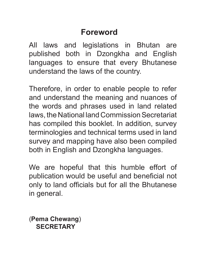#### **Foreword**

All laws and legislations in Bhutan are published both in Dzongkha and English languages to ensure that every Bhutanese understand the laws of the country.

Therefore, in order to enable people to refer and understand the meaning and nuances of the words and phrases used in land related laws, the National land Commission Secretariat has compiled this booklet. In addition, survey terminologies and technical terms used in land survey and mapping have also been compiled both in English and Dzongkha languages.

We are hopeful that this humble effort of publication would be useful and beneficial not only to land officials but for all the Bhutanese in general.

(**Pema Chewang**) **SECRETARY**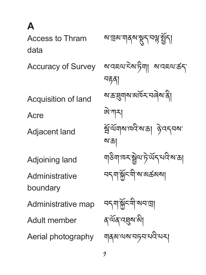**A**

Access to Thram data Accuracy of Survey Acquisition of land Acre Adjacent land Adjoining land **Administrative** boundary Administrative map Adult member Aerial photography

য়'ড়ৰু'মাৰ্কুম' মুখ্য জীৱ ས་འཇལ་ངེས་ཏིག། ས་འཇལ་ཚད་ བརྟན། ས་ཆ་ཐུགས་མཁོར་བཞེས་ནི། ཨེ་ཀར། ষ্ট্রন্ট্র্যমান্মই'ম'ক্রা ঔন্নবর্ম' ས་ཆ། য়৳আৰু বিদ্যালয় বিদ্যালয় བདག་སྐྱོང་གི་ས་མཚམས། ন্দমার্সুনমী সনভ্রা *ষ* শ্ৰ্মৰ ব্ছেম্ম ৰা གནམ་ལས་བཏབ་པའི་པར།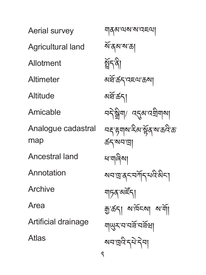Aerial survey Agricultural land Allotment **Altimeter Altitude** Amicable Analogue cadastral map Ancestral land **Annotation** Archive Area Artificial drainage Atlas

གནམ་ལས་ས་འཇལ། ৰ্ম্বৰুম্মক্তা গ্ৰিন্টা མཐ་ཚད་འཇལ་ཆས། ོ অৰ্ষ্টাৰ্কন। ঘব`ষ্ণ্ৰীশ/ ব্ৰ্মৰ্মাত্মশ্ৰীশৰ্মা <u>བར་རਜ্মঝাইঝার্মুরামাক্রইজা</u> ཚད་སབ་ཁྲ། ཕ་གཞིས། য়ঘল্লস্কেন্সীন্মইজিনা ঘাচৰ <sup>মাই</sup>ন৷ ক্ৰু'ৰ্ক্ৰন। ম'ৰ্মাছ ম'ৰ্মা নালিসমূহ বা ষ্মঘান্ত্ৰন্তিত্ববা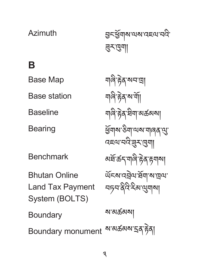#### Baseline **Bearing** Benchmark Bhutan Online Land Tax Payment System (BOLTS) **Boundary** Boundary monument <sup>ঝ'ঝകঝম'</sup>২৭ঁ*ট্*ণ| <u> </u>বাৰি দ্বব্দ ষীমা অৰ্ক্ত ৰা ཕགས་ཅིག་ལས་གཞན་ལུ་ ྱོ འཇལ་བའི་ཟུར་ཁུག། ঌর্ষ্নর্ক্রন্মগার্জীক উ ৰ্অনমানহীত ব্ৰিমাৰা আৰু བཏབ་ནིའི་རིམ་ལུགས། ས་མཚམས།

3

**B** Base Map

Base station

Azimuth

བྱང་ཕགས་ལས་འཇལ་བའི་ ྱོ ཟུར་ཁུག།

གཞི་རྟེན་སབ་ཁྲ།

གཞི་རྟེན་ས་གོ།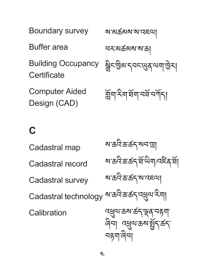Boundary survey Buffer area Building Occupancy **Certificate** Computer Aided Design (CAD) ས་མཚམས་ས་འཇལ། བར་མཚམས་ས་ཆ། য়ৢ৾৲ড়ৢয়ৼ৸ৼ৸ৼ৸ৼ৸ৼ র্মুনা ইনার্ষনা বর্ষ বর্শন।

#### **C**

Cadastral map Cadastral record Cadastral survey Cadastral technology **Calibration** ས་ཆའི་ཆ་ཚད་སབ་ཁྲ། ষাক্ৰন্টকৰ্ত্তন মাজবিৰ পৰা ས་ཆའི་ཆ་ཚད་ས་འཇལ། ས་ཆའི་ཆ་ཚད་འཕྲུལ་རིག། ব্ধুঅক্তম্ব্ক্ষ্ম্ব্ৰ্ম্ব্দ্ব্য ৰিনা ব্ৰ্ধ্ৰুম্মক্ৰমন্ত্ৰ্ব্বিক্ བརྟག་ཞིབ།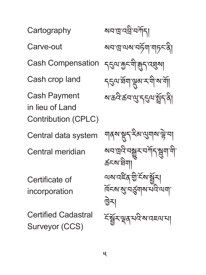Cartography Carve-out Cash Compensation Cash crop land Cash Payment in lieu of Land Contribution (CPLC) Central data system Central meridian

Certificate of incorporation

Certified Cadastral Surveyor (CCS)

<u>ম্মনাদ্রা</u>ন্ট্র'নর্সান। སབ་ཁྲ་ལས་བཏོག་གཏང་ནི། <u></u> বহ্রুম্যক্তুন্মীক্সব্য ব্রূম্য ৼহুমন্দ্ৰিমান্নুৰু মণীৰ শী ষজ্যিত মানুষদেৱী

য়ঝর্মস্থেন্স্ইঅন্ড্রাম্প্লেম <u>য়নজুইন্সভূম নস্মিত্ম</u>ন্দী ཚངས་ཐིག། অম্বাই ব্রাহ্মী হিমার্ক্সন দিনৰ জুন ইমাৰ মন্ত্ৰী ন্ত্ৰিমা ঽঁষ্ট্ৰুমন্থৰ মন্ত্ৰী ৰাজ্যৰ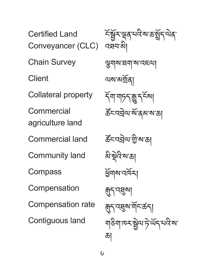Certified Land Conveyancer (CLC) Chain Survey **Client** Collateral property Commercial agriculture land Commercial land Community land Compass Compensation Compensation rate Contiguous land

হঁস্কুঁহান্থৰ ঘণ্টকা স্কুঁৱাৰ ক འཐབ་མི། ལྕགས་ཐག་ས་འཇལ། ལས་མགྲོན། র্ন্সাশচনক্সুদর্শনা *ক্টঁ*নন্দ্ৰইম'ৰ্ম'ৰাজ্য ཚང་འབྲེལ་གྱི་ས་ཆ། ོ མི་སྡེའི་ས་ཆ། ཕགས་འཁོར། ྱོ জ্রন্দেষ্মা য়ৣন্মুনব্রুমার্মানক্টনা ঀাঠখালমস্ট্রন্য দির্ঘর কা ཆ།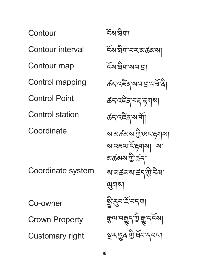**Contour** Contour interval Contour map Control mapping Control Point Control station **Coordinate** Coordinate system Co-owner Crown Property Customary right

ངོས་ཐིག། ངོས་ཐིག་བར་མཚམས། ངོས་ཐིག་སབ་ཁྲ། ক্ৰন্দইৰ মনত্ৰ নৰ্মী **ৰ্ক্ৰ**ণবৰ্হী কৰা **ৰ্ক্ৰ**ণসম্মী য়ৼয়ঌ৻৸ৼৗৣ৾৽৻৸ৼ৸ৼ <u>মাত্মহূত্মাই ক্লমবা মা</u> མཚམས་ཀྱི་ཚད། ས་མཚམས་ཚད་ཀྱི་རིམ་ ལུགས། ষ্ট্ৰন্থস্বৰ্শ ক্তৃত্ম'নক্কুন্'গ্ৰীক্সু'ন্<sup>হ্</sup>ম্য ঈন্নট্ৰিগ্ৰুমূৰ্ষ্নৰ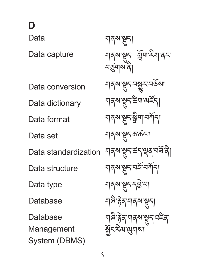**D**

Data

Data capture

Data conversion

Data dictionary

Data format

Data set

Data standardization

Data structure

Data type

**Database** 

Database

Management System (DBMS) শৰ্মসমূহা གནས་སྡུད་ གློག་རིག་ནང་ བཙུགས་ནི། ঘার্মস্থেন্দর্শ্ভুমদর্ষমা য়ঝৰুম্মুন্স্টিম্ম অৰ্ইন্ <u> শ</u>ব্মস্থ্ৰণ শ্ৰীণ শৰ্মী ন্যৰূম্মস্থন্কক্ৰনা য়ঝৰুমন্ত্ৰ্ন্ত্ৰ্ণ বৰ্ষৰ বি ঘার্মস্থ্রন্মইন্সাঁনা <u>ন্</u>যৰ্মসংস্থা <u> শ</u>াৰ্ণ <del>ট</del>ৰ্ম শৰ্ম শুনা <u></u>ঘাৰি দ্টব শাৰ্ষ মুদ্ধ বি སྐྱོང་རིམ་ལུགས།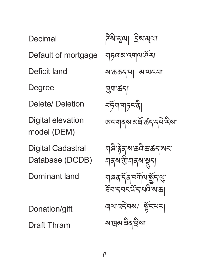Decimal Default of mortgage Deficit land Degree Delete/ Deletion Digital elevation model (DEM) Digital Cadastral Database (DCDB) Dominant land Donation/gift

Draft Thram

ন্টৰ্মিস্মূত্মা হ্ৰিম্মস্মূত্মা གཏའ་མ་འགལ་ཤོར། ས་ཆ་ཆད་པ། མ་ལང་བ། ཁུག་ཚད། བཏག་གཏང་ནི། ོ ཨང་གནས་མཐ་ཚད་དཔེ་རིས། ོ ঀাৰী ট্টৰ্'ৰ্ম'ক্ৰবীক্ৰাক্ৰ্মণ্ড্ৰ <u> শ</u>ব্মমন্ত্ৰী শৰ্মৰ স্থা <u> শাৰৰ ৰ্বৰ বৰ্মশৰ ই</u>নস্থ ষ্টমন্দ্ৰমৰ্থিকা ৰ্মাত্মবৰ্ম ষ্ট্ৰনম্ম ས་ཁྲམ་ཟིན་བྲིས།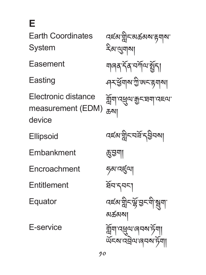**E**

Earth Coordinates System

Easement

**Easting** 

Electronic distance measurement (EDM) device

**Ellipsoid** 

Embankment

Encroachment

**Entitlement** 

Equator

E-service

বৰ্হম'ম্ন্নীন'মক্তমৰ্ম' རིམ་ལུགས། শাৰৰ ৰ্ষৰ অৰ্শিত জীৱা ঀম্প্ৰস্প্ৰাম্মট্ট অনন্দ্ৰমা সুঁমি ব্ৰেল ক্ৰীমা ཆས། বহুগর্মীব্রন্থ ইন্সা ཆུ་བྱག། ཧམ་འཛུལ། ষ্ট্ৰনত্ম *বইম*'মুন্সুঁ'মুনশী'ষ্ণুনা མཚམས། གློག་འཕྲུལ་ཞབས་ཏག། ོ ཡངས་འབྲེལ་ཞབས་ཏ ོ ག། ོ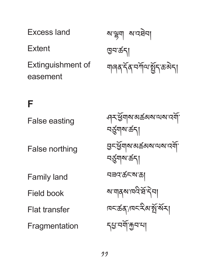Excess land **Extent** Extinguishment of easement

```
ས་ལྷག ས་འཐེབ།
ཁྱབ་ཚད།
<u>  </u>ৰাৰম্বৰ্ষি বিশেষীৰ বিশিষ্ট
```
### **F**

False easting

False northing

Family land

Field book

Flat transfer

**Fragmentation** 

ཤར་ཕགས་མཚམས་ལས་འགོ་ ྱོ བཙུགས་ཚད། བྱང་ཕགས་མཚམས་ལས་འགོ་ ྱོ བཙུགས་ཚད། བཟའ་ཚང་ས་ཆ། <u>ম'</u>নাৰ্ম'নেই'ৰ্দ্ৰ'নী দ্মন্তৱ্যাৰ্লহীৰ জুৰ্মী དཔྱ་བགོ་རྐྱབ་པ།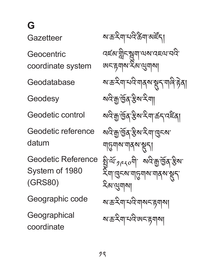**G**

Gazetteer

**Geocentric** coordinate system

Geodatabase

Geodesy

Geodetic control

Geodetic reference datum

Geodetic Reference System of 1980 (GRS80)

Geographic code

**Geographical** coordinate

ষ্যস্ত:মিশ্মন্ট ইনা বৰ্হম'ন্নীম্মুশ্ৰাঅম'বৰ্মখেনি ཨང་རྟགས་རིམ་ལུགས། ষ্যন্ত ইশা মন্ত্ৰী শৰ্মৰ স্থান শৰি দিব। <u>য়দ্ৰীজুৰ স্থিৱ স্থা</u> སའི་རྒྱ་ཁྱོན་རྩིས་རིག་ཚད་འཛིན། <u>য়দ্রিউ</u>র'ষ্টুম'ష্মা'দেু্<sup>দু</sup>মা' শত্ত্ৰশৰু শৰ্মসূত্ৰ  $\mathbb{S}^n$   $\mathbb{S}^n$   $\mathbb{S}^n$   $\mathbb{S}^n$ <u>ેત્રી જિસ્ત્ર ત્રતિ ત્રાજ્ઞાએ કોર્</u> རིམ་ལུགས། ས་ཆ་རིག་པའི་གསང་རྟགས། ষ্যক্তইশ্ৰামন্ত্ৰীজনেক্কা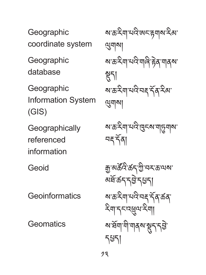**Geographic** coordinate system

**Geographic** database

**Geographic** Information System (GIS)

**Geographically** referenced information

Geoid

Geoinformatics

**Geomatics** 

ས་ཆ་རིག་པའི་ཨང་རྟགས་རིམ་ ལུགས། ས་ཆ་རིག་པའི་གཞི་རྟེན་གནས་ য়গ <u>য়৳ৼয়৸ঢ়৸ড়৸ৼ</u> ལུགས།

ས་ཆ་རིག་པའི་ཁུངས་གཏུགས་ བརྡ་དན། ོ

རྒྱ་མཚའི་ཚད་ཀྱི་བར་ཆ་ལས་ ོ མཐ་ཚད་དབྱེ་དཔྱད། ོ ས་ཆ་རིག་པའི་བརྡ་དན་ཚན་ ོ རིག་དང་འཕྲུལ་རིག། ས་ཐག་གི་གནས་སྡུད་དབྱེ་ ོ དཔྱད།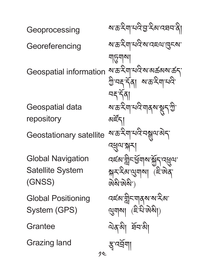$2<sup>1</sup>$ Geoprocessing **Georeferencing** Geospatial information Geospatial data repository Geostationary satellite Global Navigation Satellite System (GNSS) Global Positioning System (GPS) Grantee Grazing land

ས་ཆ་རིག་པའི་བྱ་རིམ་འཐབ་ནི། ས་ཆ་རིག་པའི་ས་འཇལ་ཁུངས་ অচূম্মশ ས་ཆ་རིག་པའི་ས་མཚམས་ཚད་ গ্রীসহার্বরা মাক্রাইমামনী ন্দ্ৰ ব্ৰা <u>য়৳য়য়৸ঢ়৸ড়৸ড়৸ড়</u> ঝাঁহন ས་ཆ་རིག་པའི་བསྒུལ་མེད་ འཕྲུལ་སྐར། বৰ্হনাম্নী<del>বৰ্</del>ষ্ট্ৰমাৰাষ্ট্ৰবিদ্ৰুৱা ক্সুমম্মিন (াইজিরা ཨེསི་ཨེསི་) বৰ্হন্যশ্নীনশাৰ্মসম্মি ལུགས། (ཇི་པི་ཨེསི།) ལེན་མི། ཐབ་མི། ོ ষ্ট্ৰ'ন্ইশা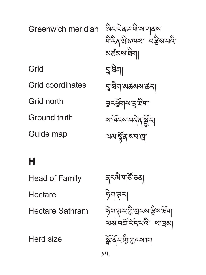Greenwich meridian Grid Grid coordinates Grid north Ground truth Guide map

ཨིང་ལེནཌ་གི་ས་གནས་ གིརིན་ཝིཆ་ལས་ བརྩིས་པའི་ མཚམས་ཐིག། དྲྭ་ཐིག། དྲྭ་ཐིག་མཚམས་ཚད། བྱང་ཕགས་ ྱོ དྲྭ་ཐིག། ས་ཁོངས་བདེན་སྦྱོར། ལམ་སན་སབ་ཁྲ། ྟོ

## **H**

Head of Family Hectare Hectare Sathram

Herd size

24 ৰ্¤<sup>ষ্টা</sup>শা<sup>ৰ্ষ্ট </sup>ঙ্গ| ཧེག་ཊར། ཧེག་ཊར་གྱི་གྲངས་རྩིས་ཐག་ ོ থৰা নৰ্দ্ৰ অন্নত কৰা স্ক্রার্ষ্ক ইম্ভিশ্মন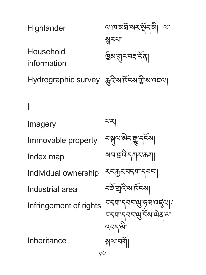| Highlander                                      | আনস্তর্ষসমূর্ষদঞ্জী অ        |
|-------------------------------------------------|------------------------------|
|                                                 | 줡주지                          |
| Household                                       | ම্ভিম'মাৃনম্মন্ <b>ৰ্ণবা</b> |
| information                                     |                              |
| Hydrographic survey ক্ৰুবিৰাৰ্শিকৰা ট্ৰান্নৰ অন |                              |

# **I**

Imagery Immovable property Index map Individual ownership Industrial area Infringement of rights Inheritance པར། <u><sub>ଵଵୣ</sub>୲</u>୳ଊୖଽୢ୕ଈୢ୕୲ଽୖଽଽ୶୲ ষঘাত্রবিদ্যামকেনা ৲ম্কুম্বন্মশ্ৰমণ নৰ্ষস্মন্বিমেণ བདག་དབང་ལུ་ཧམ་འཛུལ།/ བདག་དབང་ལུ་ངོས་ལེན་མ་ འབད་མི། སྐལ་བགོ།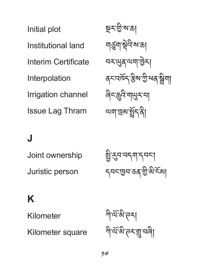Initial plot Institutional land Interim Certificate Interpolation Irrigation channel Issue Lag Thram

སྔར་གྱི་ས་ཆ། <u> <sub>মা</sub>ৰ্</u>ডুমা<sup>,</sup> ফুবি'ৰু'ক্ৰা བར་ཡུན་ལག་ཁྱེར། <u> </u>বনমৰ্মিন'ষ্টৰুগী'ৰ মুখ্যা ཞིང་ཆུའི་གཡུར་བ། অন্মাত্ত্ৰৰুষ্ট্ৰনন্ত্ৰী

## **J**

Joint ownership Juristic person

ষ্ট্ৰন্থমুম্বন্দা *৲৲*নহাড়ন'ডৰ'ড্ৰীস্কী<sup>:</sup>ইন্সা

## **K**

Kilometer

Kilometer square

ཀི་ལ་མི་ཊར། ོ ཀི་ལ་མི་ཊར་གྲུ་བཞི། ོ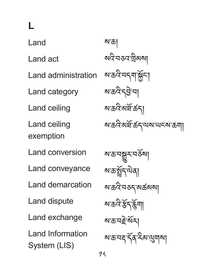**L** Land Land act Land administration Land category Land ceiling Land ceiling exemption Land conversion Land conveyance Land demarcation Land dispute Land exchange Land Information System (LIS)

ས་ཆ། སའི་བཅའ་ཁྲིམས། ས་ཆའི་བདག་སྐྱོང་། ས་ཆའི་དབྱེ་བ། ས་ཆའི་མཐ་ཚད། ོ ས་ཆའི་མཐ་ཚད་ལས་ཡངས་ཆག། ོ

ས་ཆ་བསྒྱུར་བཅོས། ས་ཆ་སྤད་ལེན། ྲོ ས་ཆའི་བཅད་མཚམས། ས་ཆའི་རད་རྙོག། ྩོ ས་ཆ་བརྗེ་སར། ོ ས་ཆ་བརྡ་དན་རིམ་ལུགས། ོ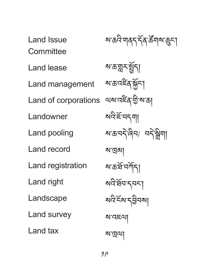Land Issue **Committee** Land lease Land management Land of corporations of **Landowner** Land pooling Land record Land registration Land right Landscape Land survey Land tax

ས་ཆའི་གནད་དན་ཚོ གས་ཆུང་། ོ ས་ཆ་གླར་སྤད། ྱོ ས་ཆ་འཛིན་སྐྱོང་། ལས་འཛིན་གྱི་ས་ཆ། སའི་ཇོ་བདག། ས་ཆ་བདེ་ཞིབ/ བདེ་སྒྲིག། ས་ཁྲམ། ས་ཆ་ཐ་བཀོད། ོ སའི་ཐབ་དབང་། ོ སའི་ངོས་དབྱིབས། ས་འཇལ། ས་ཁྲལ།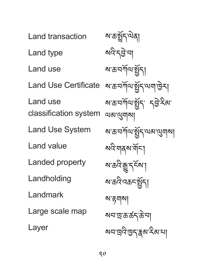Land transaction Land type Land use Land Use Certificate Land use classification system Land Use System Land value Landed property Landholding Landmark Large scale map Layer

ষাক্রষ্ট্রনা སའི་དབྱེ་བ། <u>য়*ৼ*ঽ৸৻</u>৸ড়য় ষজনসাঁতা ষ্ট্ৰন আৰু জী ষাক্র'নর্দামার্ষ্ট্রন' ব্র্টু: ইমা ལམ་ལུགས། <u>য়৳রসাঁ</u>ঝস্ট্রন থেমাণ্ড্রামা སའི་གནས་གོང་། ས་ཆའི་རྒྱུ་དངོས་། ষাক্রনিক্রনন্থিনা ས་རྟགས། སབ་ཁྲ་ཆ་ཚད་ཆེ་བ། য়ঘল্লইণ্ডনুষ্ক্ৰম্মইৰ্মা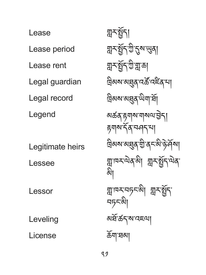Lease Lease period Lease rent Legal guardian Legal record Legend Legitimate heirs Lessee Lessor Leveling License

স্নমন্ত্রী য়ুনস্থ্রনৃষ্ট হূৰ্ম্খনা য়ৢ৲য়ৢ৲ৼৣৼৢৼৣৼৣৼৣৼৣ দ্রিঝম'ঝ্র্ন্ত্রুব'বর্ক্ট'বৰ্<sup>প</sup>মা ন্নিমৰ মন্ত্ৰ অমাৰ্শী མཚན་རྟགས་གསལ་བྱེད། རྟགས་དན་བཤད་པ། ོ ত্ৰিঝম'ঝঘ্ৰুব'্শ্ৰী'ব<sub></sub>ন্ধী'ণ্ট'ৰ্শ্**ৰ**মা ন্ন্ৰাদ্মম্মৰকৌ ন্নম্মুন্ম্মৰ མི། ন্না¤মব্দক্ষী ন্নুমৰ্ষ্ট্ৰূণ ঘচ়নঋী མཐ་ཚད་ས་འཇལ། ོ ཆོག་ཐམ།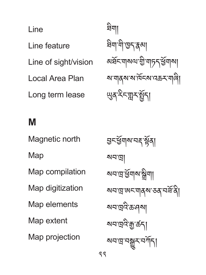Line Line feature Line of sight/vision Local Area Plan Long term lease

ཐིག། ষিন্দামী'ড্ৰুণ্ক্কৰু <u>য়র্ষ</u><আমন্মণ্ড শাদ ই গ্রিমা ས་གནས་ས་ཁོངས་འཆར་གཞི། ཡུན་རིང་གླར་སྤད། ྱོ

#### **M**

Magnetic north Map Map compilation Map digitization Map elements Map extent Map projection

হ্ৰনৰ্শ্ভশাৰু নহ'ৰ্ষ্ণৰা སབ་ཁྲ། <u>য়নজুর্মুনাগল্পী</u> ষঘান্নজনেমৰ্মজনেৰ্মী <u>য়মত্ৰবিক্ৰণ</u> <u>য়নাল্লইক্সক্রব</u> <u>য়য়ড়ড়</u>ৼ৻ঽয়ৄৼ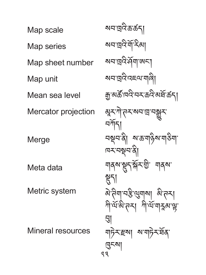Map scale Map series Map sheet number Map unit Mean sea level Mercator projection **Merge** Meta data Metric system Mineral resources

23 ষ্মন'ন্নেইস্ক'ৰ্কন। སབ་ཁྲའི་གོ་རིམ། ষঘান্নইর্ম্মাজনা སབ་ཁྲའི་འཇལ་གཞི། ক্কুঅর্ক্ট'ন্নেই'ক্রই'ক্রাই'ক্রন্ য়ৢৼয়৾ঢ়ৼ৸য়ড়ৢ নৰ্শিন। བསྡབ་ནི། ས་ཆ་གཉིས་གཅིག་ ཁར་བསྡབ་ནི། <u> শব্ৰম্স্থে</u>ন্স্<del>স্</del>মিস্ট্ৰ' শব্ৰম ୬୩ ৯་ลིশ নস্ট'মুম্ম ৯་ล་ར། সীন্মস্তীসমা সীন্মসমূহ সম্ভ བུ། শচি়নস্থা মাত্ৰচিন্দ্ৰিষ ཁུངས།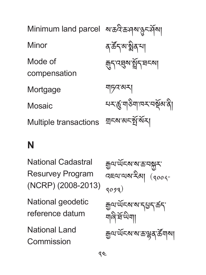Minimum land parcel *ས་*ଛঈ་க་ལུས་སྱང་ལོས། Minor Mode of compensation **Mortgage Mosaic** Multiple transactions ৰ`ৰ্ক্টঁন্'ৰ্মাষ্ট্ৰৰ্'মা ৰ্মুন<sup>্</sup>ব্ছৰুমন্ট্ৰনিং ঘনৰা གཏའ་མར། য়য়ৼ৻য়ৢড়৸ড়৸ড়৸ ন্মৰ মাৰা বিদ্যালয়

### **N**

National Cadastral Resurvey Program (NCRP) (2008-2013)

National geodetic reference datum

National Land **Commission** 

<u>ক</u>্ৰুণ অঁহৰাসক্ষ কৰি বহুনাথম'ইমা (<sub>१००५</sub>- $(3093)$ <u> क</u>ुष ਘॅद्रू राज्य दुधुदार्कदा གཞི་ཐ་ཡིག། ོ ক্কুথ<sup>.</sup>ऍॅद्रूश् रू'ढ़ाञ्चे दु'ळें गठा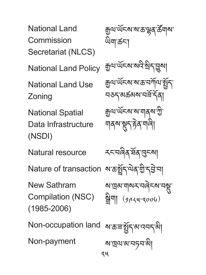National Land Commission Secretariat (NLCS)

National Land Policy

National Land Use Zoning

National Spatial Data Infrastructure (NSDI)

Natural resource

Nature of transaction

New Sathram Compilation (NSC) (1985-2006)

Non-occupation land

Non-payment

ক্ৰুণ অঁহৰ ৰূপ্ত ক্ৰীৰ ক্ৰী ཡིག་ཚང་། <sub>শ্ৰী</sub>থ'ৰ্ਘব্মখ্যমন্ত্ৰী বা ক্সুঅ'ৰ্অব্মাৰাজ্যৰ বিশিষ্ট্ৰেন <u>বক্তব্যৱকৰম'বৰ্ষী</u> ক্কুথ<sup>.</sup>ധ্<sup>নে</sup>য়ে অ'মানুষ'শ্ৰী ঀাৰমাস্থ্ৰনাটক শালী

རང་བཞིན་ཐན་ཁུངས། ོ <u>য়৳য়ৄৗ৻৸ড়ৣ৸ৼড়ৢৗ৻ড়ৣৼড়</u> ষ'দ্ৰেৰ'শৰ্মসম্মৰ ক্ষম  $\frac{2}{N}$ या ( $\frac{2}{\pi}$ ५)

ষ্মস্কন্সষ্ট্ৰন্মস্বেদ্বী ས་ཁྲལ་མ་བཏབ་མི།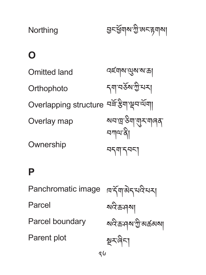**Northing** হ্রনর্শ্রুনাম'স্ট্র'জনক্কমা

## **O**

Omitted land **Orthophoto** Overlapping structure བᆿ་རྱག་ལྲབ་ལག། Overlay map **Ownership** বৰ্হশৰম'ণ্ড্ৰম'ম'ক্ৰ| <sub>ন্</sub>না'নৰ্ষৰ শ্ৰীমনা སབ་ཁྲ་ཅིག་གུར་གཞན་ བཀལ་ནི། བདག་དབང་།

#### **P**

Panchromatic image Parcel Parcel boundary Parent plot

ཁ་དག་མེད་པའི་པར། ོ སའི་ཆ་ཤས། སའི་ཆ་ཤས་ཀྱི་མཚམས། སྔར་ཞིང་།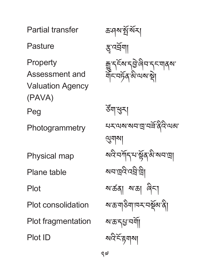Partial transfer

**Pasture** 

Property Assessment and Valuation Agency (PAVA) Peg

**Photogrammetry** 

Physical map

Plane table

Plot

Plot consolidation

Plot fragmentation

Plot ID

ক্ৰ:নৰমাৰ্ষ্ট্ৰাৰ্ষ্ম স্ত্ৰ'বৰ্ষণা رسال سرل مراد المحاكم مدركة @ الإسمام محارب

ཙག་ཕུར། ོ ঘহায়মামান্ৰামৰ্শ্ৰিষ্ট বি ལུགས། য়জন্মীৰ সম্ভিত্ত জীৱ <u>য়ন'ন্ৰ</u>বি'ব্ৰে'ড্ৰা ས་ཚན། ས་ཆ། ཞིང་། ষাক্তব্যক্তিমানেই মাজী <u>য়*ৼ*ঢ়ৼ৸ড়</u> <u>মন্দিই দ্ব</u>দ্যা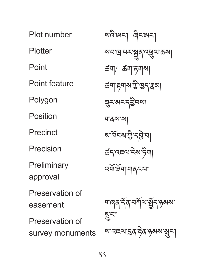Plot number **Plotter** Point Point feature Polygon Position **Precinct** Precision **Preliminary** approval Preservation of easement Preservation of survey monuments

ষ্মইজ্ঞহা ৰিহজহা <u>য়ন'দ্ৰ'মম্মু</u>ৰ্'ব্ৰ্ধ্ৰুণ'ক্ৰম| ཚག/ ཚག་རྟགས། *ঌ*॔ॺॱहृष|ॺॱॻॖॱভॖॸॱॖॖड़ॴ ཟུར་མང་དབྱིབས། གནས་ས། <u>মার্</u>মিহম'শ্রী'বটু'না ཚད་འཇལ་ངེས་ཏིག། འགོ་ཐག་གནང་བ། ོ <u> </u>ৰাৰমৰ্`ৰ্বি'নৰ্শীম'ষ্ট্ৰীন'ঙ্গৰুমা སྲུང་། য়ৼ৻য়৸ৼয়৸ৼ৻৸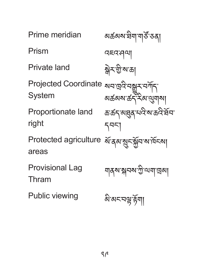| Prime meridian                                                            | <mark>য়</mark> ଈ৶য়৾য়য়ঢ়য়ড়য়ঢ়                 |
|---------------------------------------------------------------------------|-----------------------------------------------------|
| Prism                                                                     | क्ह्व:पव्ण                                          |
| Private land                                                              | ঈুখক্সীর                                            |
| <b>Projected Coordinate</b><br>System                                     | য়য়৻য় <u>ড়ড়ৼড়ড়</u><br>য়ড়৸য়ড়ঽৣ<br>৵৸ড়৸ড়৸ |
| Proportionate land<br>right                                               | <i>ম্ভৰ্</i> ন'ম্ছ্ৰৰ'মন্ত্ৰ'মন্ত্ৰইম'<br>5951      |
| Protected agriculture <i>শ</i> র্ <sub>ব</sub> নমুনর্সুনমার্দিকা<br>areas |                                                     |
| Provisional Lag<br>Thram                                                  | য়ঀ৶ৠ৸৶য়ৣ৾৻য়য়ৗ৻য়                                |
| Public viewing                                                            | बे'बद्घञ्च'ह्रैग                                    |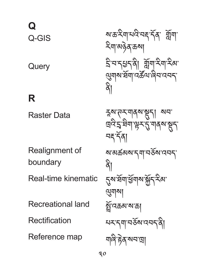## **Q** Q-GIS

**Query** 

### **R**

Raster Data

Realignment of boundary

Real-time kinematic

Recreational land

Rectification

Reference map

ས་ཆ་རིག་པའི་བརྡ་དན་ གློག་ ོ རིག་མཉེན་ཆས། དྲི་བ་དཔྱད་ནི། གློག་རིག་རིམ་ ལུགས་ཐག་འཚ ོ ལ་ཞིབ་འབད་ ོ ནི།

হ্ম'ন্সুমাৰ্ম'শ্ভ্ৰা মন' <u>দ্ৰ</u>বিহ'ষীমাঞ্চু-ব্ৰেশৰূষ ন্দ্ৰহৰ্ণি ས་མཚམས་དག་བཅོས་འབད་ ৯ী <u>ຽ</u>ম'ৰ্ষসাৰ্শ্তমাম'ৰ্মুৎ ইন্স' ལུགས། ষ্ট্ৰান্বক্ৰম'ম'ক্ৰা པར་དག་བཅོས་འབད་ནི། གཞི་རྟེན་སབ་ཁྲ།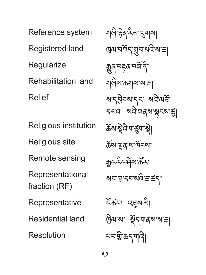Reference system Registered land **Regularize** Rehabilitation land Relief Religious institution Religious site Remote sensing Representational fraction (RF) **Representative** Residential land Resolution

ঘান্ত্ৰিষ্টৰূ ইন্সংযোগৰ দ্ৰেম'নৰ্শিন্'য়ুন'মন্নি'ম'ক্ৰা ক্সুব্দেষ্ক্ৰন্থ གཞིས་ཆགས་ས་ཆ། ম'ন্ট্ৰনম'ন্দ মন্মিৰ্ষ དམའ་ སའི་གནས་སྟངས་ཚུ། ৰ্ক্তম্ম ষ্ট্ৰবি<sup>:</sup>মাৰ্ড্ৰমা ষ্ট্ৰা ཆོས་ལྡན་ས་ཁོངས། <u> क</u>ुद<sup>्</sup>देदभेब ऊँद। ষঘান্ত্ৰাহ্মসংক্ৰিক্টবা ངོ་ཚབ། འཐུས་མི། <u>উ</u>ন্স'মা ষ্ট্ৰ্ন'শৰ্মম'ম'ক্ৰা པར་གྱི་ཚད་གཞི།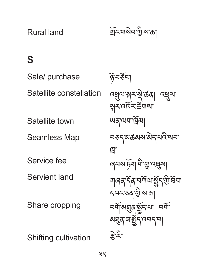Rural land

ৰ্শ্ৰনখন শ্ৰী

## **S**

Sale/ purchase Satellite constellation Satellite town Seamless Map Service fee Servient land

Share cropping

Shifting cultivation

ৡঁঘৰ্ষুখ ব্ধ্রুনম্মুমস্ট্রু করা ব্ধ্রুন য়ুম্বর্তমস্ট্রনা ཡན་ལག་ཁྲོམ། བཅད་མཚམས་མེད་པའི་སབ་ ཁྲ། ৰেনৰ চঁমা<sup>.</sup>মীয়া ব্য়ৰ্ষা শাৰৰ ব্যঁ নৰ্শান গ্ৰন ভূমি আ དབང་ཅན་གྱི་ས་ཆ། নর্মান্ত্র্ম রুমু নর্মা <u>য়য়ৢয়ৼয়৻</u>ৼ৻ৼ৸ རྩེ་རི།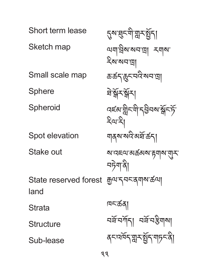Short term lease Sketch map Small scale map Sphere **Spheroid** Spot elevation Stake out State reserved forest ক্রুণ ব্মন্জ্যমূক্ষ ক্রণ| land **Strata Structure** Sub-lease <u>ຽম'</u>ষ্কুম্মী'য়ুমস্থ্রী ལག་བྲིས་སབ་ཁྲ། རགས་ རིས་སབ་ཁྲ། ཆ་ཚད་ཆུང་བའི་སབ་ཁྲ། ষ্টস্কিম বৰ্হমান্নীনশী বৰ্হীনমাৰ্শ্লনৰ্দ্য རིལ་རི། ঘারম'মন্দির্ষ'র্ক্রনা ས་འཇལ་མཚམས་རྟགས་གུར་ བཏེག་ནི། ཁང་ཚན། ঘৰ্ষ ঘৰ্শিব। ঘৰ্ষ ঘষ্টশৰ্ ৰ্ঘনৰ্মৰ্ঘনুমৰ্শ্বিণ শাসনৰী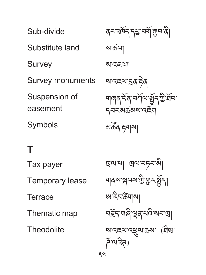Sub-divide Substitute land Survey Survey monuments Suspension of easement Symbols

ནང་འཁོད་དཔྱ་བགོ་རྐྱབ་ནི། ས་ཚབ། ས་འཇལ། ས་འཇལ་དྲན་རྟེན གཞན་དན་བཀོལ་སྤ ོ ད་ཀྱི་ཐ ྱོ བ་ ོ དབང་མཚམས་འཇོག མཚན་རྟགས། ོ

# **T**

Tax payer Temporary lease **Terrace** Thematic map **Theodolite** 

34 ཁྲལ་པ། ཁྲལ་བཏབ་མི། <u></u> শৰ্মমত্মনমাত্তীয়ু হৰ্ষ্টনা ཨ་རིང་ཚིགས། <u>বৰ্</u>হুন্**'**নাৰীস্থৰ মন্ত্ৰী ষাব্দেমাব্ৰুমাক্ৰমা (ষ্ট্ৰন্মা ཌོ་ལའིཊ)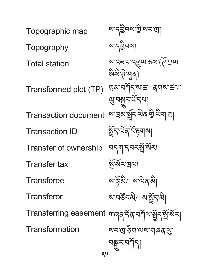34 Topographic map **Topography** Total station Transformed plot (TP) Transaction document Transaction ID Transfer of ownership Transfer tax **Transferee Transferor** Transferring easement ჟৰক্ষ্ক্ষ্প নৰ্শিঅষ্ট্ৰ্য ষ্ট্ৰ্ষ্ম ৰ্ষম Transformation ས་དབྱིབས་ཀྱི་སབ་ཁྲ། ས་དབྱིབས། থাব্ৰহাত্ম ক্ৰমাৰ্টি, মাতা জিষ্ণার্লাপুর্) দ্ৰেম'নৰ্শীন'ম'ক্ত' ব্ৰ্মাম'ৰ্ক্তথা <u></u>ণ্ড্ৰ'নক্ষুুুুুখৰ্মৰ <u>য়ৼড়ৢ৸ৼৣ</u>৻ৼ৸৸ৼ৸ গ্ৰহণতাৰ কাঁৱ <u>ন্</u>নব্দর্ষুর্শ্বিশ ষ্ট্ৰস্মিহান্ত্ৰণ ས་ཉོ་མི/ ས་ལེན་མི། ষ'নৰ্ষ্টহত্মী/ ৰাষ্ট্ৰহাৰী སབ་ཁྲ་ཅིག་ལས་གཞན་ལུ་ <u>নন্</u>নুসম্পৰ্শি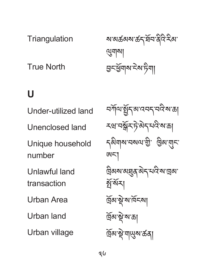**Triangulation** 

True North

## **U**

Under-utilized land Unenclosed land Unique household number Unlawful land transaction Urban Area Urban land Urban village

<u>য়ৼয়ড়৸ৼ৸ৼ৸ৼ</u>৸ৼ ལུགས། ভ্ৰুহৰ্শ্ভব্যৰুষ ইন্সা

বর্সাথ ষ্ট্রন ঝাবেন বাই মাক্ত རཝ་བསྒོར་ཏེ་མེད་པའི་ས་ཆ། དམིགས་བསལ་གྱི་ ཁྱིམ་གུང་ ཨང་། দ্রিঝম'ঝ্ছ্র্মুন্স'ম'বি'ম'দ্রেঝ' গ্নাঁ বাঁ দ্ৰিম'ষ্ণু'ম'ৰ্মিহমা ৰ্দ্ৰিম'ষ্ট'ম'ক্ৰা ৰ্দ্ৰিম'ষ্ট্ৰ'মা্ড্ম্ম'ৰ্ক্ৰব্য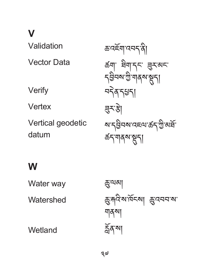**V**

Validation Vector Data Verify Vertex Vertical geodetic datum ཆ་འཇོག་འབད་ནི། ཚག་ ཐིག་དང་ ཟུར་མང་ དབྱིབས་ཀྱི་གནས་སྡུད། བདེན་དཔྱད། য়ুন্ঔ <u>য়ৼ৴ঀৣ৸ৼ৸ৼ৻৸ড়৸ড়</u> ཚད་གནས་སྡུད།

#### **W**

Water way **Watershed Wetland** ཆུ་ལམ། ক্সুদ্দবি'ৰু'ৰ্মিহৰু। ক্ৰুবেনন'ৰূ' শাৰ্কশ ৰ্ক্লব'মা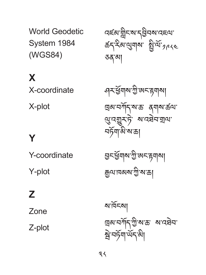ས་ཁོངས།

য়ৢ৾ৼয়ঢ়৸ড়

Zone Z-plot

**Z**

Y-coordinate Y-plot

**Y**

X-plot

**X**

X-coordinate

World Geodetic System 1984 (WGS84)

বৰ্হম'ন্নীনম'ন্ইনম'বৰথ'  $55 - 3$ ৯ (১) हैं हैं हैं अंग्रह ཅན་མ།

ঀয়ৼড়৸৸ৼ ཁྲམ་བཀོད་ས་ཆ་ ནགས་ཚལ་ ལུ་འགྱུར་ཏེ་ ས་འཐེབ་གྲལ་ བཏག་མི་ས་ཆ། ོ

দ্রেঝ'নর্শিন্'শ্রী'ম'ক্ত' ম'বেষ্টন'

হ্ৰনৰ্শ্ৰুণৰাজ্যজনা ক্ক্রন্সামেকা ক্রী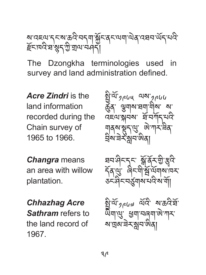্য দেখে ১১৯ ৩৭ নব্ৰা স্তুচব্ৰ অৰ্থনা অব্যৱহাৰ অব্যাৎ **इ৲।४५४ ৡ**དལུ སྲུ་ལ་བས་ད།

The Dzongkha terminologies used in survey and land administration defined.

*Acre Zindri* is the land information recorded during the Chain survey of 1965 to 1966.

*Changra* means an area with willow plantation.

*Chhazhag Acre Sathram* refers to the land record of 1967.

ষ্ট্র <sup>ন্ম</sup> গূ*ম্ডে*। **३३** अनुबन्ध अ אילןויר ב מאלא ગુજરૂરી જુ<sup>ં</sup> જગી\ત્ર નજ ন্স বৰ্তমুন অৰ্

ཐབ་ཤིང་དང་ སྒོ་ནར་གྱི་རྩྭའི་ ོ དན་ལུ་ ཞིང་གི་ས ོ ་ལྦོགས་ཁར་ ོ ཅང་ཤིང་བཙུགས་པའི་ས་གོ།

སྤྱི་ལ་༡༩༦༧ ལ ོ འི་ ས་ཆའི་ཐ ོ ་ོ ཡིག་ལུ་ ཕྱག་བཞག་ཨེ་ཀར་ ས་ཁྲམ་ཟེར་སླབ་ཨིན།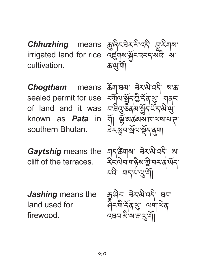*Chhuzhing* means irrigated land for rice cultivation.

sealed permit for use of land and it was known as *Pata* in southern Bhutan.

*Gaytshig* means the cliff of the terraces.

*Jashing* means the land used for firewood.

ཆུ་ཞིང་ཟེར་མི་འདི་ བྱཱ་རིགས་ འཛུགས་སྐྱོང་འབད་སའི་ ས་ ཆ་ལུ་གོ།

*Chogtham* means  $\frac{1}{2}$  $\frac{1}{2}$   $\frac{1}{2}$   $\frac{1}{2}$   $\frac{1}{2}$   $\frac{1}{2}$   $\frac{1}{2}$   $\frac{1}{2}$   $\frac{1}{2}$   $\frac{1}{2}$   $\frac{1}{2}$   $\frac{1}{2}$   $\frac{1}{2}$   $\frac{1}{2}$ <u>ь โฟว ฮิปล์ วี่ฝี จี๊ รู้ได้</u> <u>મ ત્રણું અને જ્ઞેત્રી ભૂત જણાવ</u>  $\frac{1}{2}$   $\frac{1}{2}$   $\frac{1}{2}$   $\frac{1}{2}$   $\frac{1}{2}$   $\frac{1}{2}$  $\approx$   $3\sqrt{3}$   $\approx$   $\sim$   $3\sqrt{3}$   $\approx$   $\sim$   $\sim$ 

> $\frac{1}{2}$  $\frac{1}{2}$  $\frac{1}{2}$  $\frac{1}{2}$  $\frac{1}{2}$  $\frac{1}{2}$  $\frac{1}{2}$  $\frac{1}{2}$  $\frac{1}{2}$  $\frac{1}{2}$  $\sim$ ันาราไจ้อมักราชสม པའི་ གད་པ་ལུ་གོ།

 $\ddot{a}$ મી $\ddot{c}$   $\ddot{a}$   $\ddot{a}$   $\ddot{a}$   $\ddot{a}$ ๚ๅ๚ๅๅ๚๚๛ འཐབ་མི་ས་ཆ་ལུ་གོ།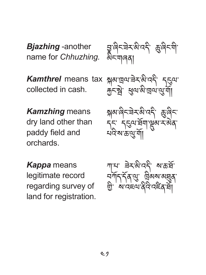*Bjazhing* -another name for *Chhuzhing.*

བྱཱ་ཞིང་ཟེར་མི་འདི་ ཆུ་ཞིང་གི་ མིང་གཞན།

*Kamthrel* means tax collected in cash.

སྐམ་ཁྲལ་ཟེར་མི་འདི་ དངུལ་ རྐྱང་སྦེ་ ཕུལ་མི་ཁྲལ་ལུ་གོ།

*Kamzhing* means dry land other than paddy field and orchards.

*Kappa* means legitimate record regarding survey of land for registration.

 $\frac{1}{2}$  and  $\frac{1}{2}$   $\frac{1}{2}$   $\frac{1}{2}$   $\frac{1}{2}$   $\frac{1}{2}$ لمحديد التجهيز كل <u>ଧ୍ୟକ କଞ୍ଜ୍ୟ</u>ା

 $\sqrt{2}$ ୍<sub>⇒√ବାୟ</sub>୍ବା ଜୟା স্মাণি এ শ্রুণ শুরুণ གྱི་ ས་འཇལ་ནིའི་འཛིན་ཐ།ོ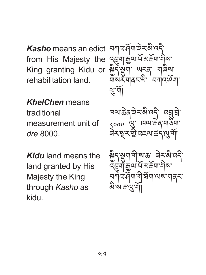*Kasho* means an edict from His Majesty the King granting Kidu or rehabilitation land.

*KhelChen* means

traditional measurement unit of *dre* 8000.

*Kidu* land means the land granted by His Majesty the King through *Kasho* as kidu.

བཀའ་ཤོག་ཟེར་མི་འདི་ འབྲུག་རྒྱལ་པ་མཆོག་གིས་ ོ སྐྱིད་སྡུག་ ཡངན་ གཞིས་ གསར་གནང་མི་ བཀའ་ཤོག་ ལུ་གོ།

ཁལ་ཆེན་ཟེར་མི་འདི་ འབྲུ་བྲེ་ ༨༠༠༠ ལུ་ ཁལ་ཆེན་གཅིག་ ཟེར་སྔར་གྱི་འཇལ་ཚད་ལུ་གོ།

<u>જીંગસૂત્રીયોએ જે અર્</u>જૂએ તેને उन्नी कैंत्र हैं अकर्ता ताळ নসাঁবৰ্টমা ঘী ছমা অৰু ম མི་ས་ཆ་ལུ་གོ།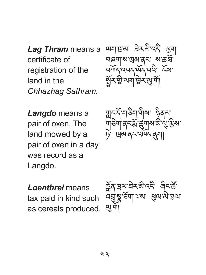*Lag Thram* means a certificate of registration of the land in the *Chhazhag Sathram.* 

ལག་ཁྲམ་ ཟེར་མི་འདི་ ཕྱག་ བཞག་ས་ཁྲམ་ནང་ ས་ཆ་ཐ་ོ བཀོད་འབད་ཡད་པའི་ ངོས་ ོ སྦྱོར་གྱི་ལག་ཁྱེར་ལུ་གོ།

*Langdo* means a pair of oxen. The land mowed by a pair of oxen in a day was record as a Langdo.

གླང་ད་གཅིག་གིས་ ཉིནམ་ ོ གཅིག་ནང་ར་ཚུགས་མི་ལུ་རྩིས་ ྨོ ཏེ་ ཁྲམ་ནང་འཁོད་ནུག།

*Loenthrel* means tax paid in kind such as cereals produced. ଷ୍ଟশ|

 $\frac{\partial \phi}{\partial t}$ ಷ್ಷಿಸ್ತು ಸಂಸ್ಥೆ उन्हें अच्चालय सेल बातन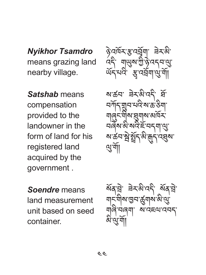*Nyikhor Tsamdro*  means grazing land nearby village.

*Satshab* means compensation provided to the landowner in the form of land for his registered land acquired by the government .

*Soendre* means land measurement unit based on seed container.

ঔনর্দ্রি-স্মুত্রবিশ ৰিম্মী ويستادى ھالى سىن ئالى <u> ५५ अबना सुना</u>

ষাক্টনা ব্রহারীদেরী স্রা བཀོད་གྲུབ་པའི་ས་ཆ་ཅིག་ માંજી~માું સુર્યાસ આયર્ન <u> มตุล สุ สุนาร์ สุวที่ (สิ่</u> <u>য়৾৳ঽড়ৗৣয়ৼ৻ড়৾য়৸</u> ལུ་གོ།

ষ্ট্ৰে: ৰক্ষাত্ৰ, ৰূপৰ ୴ୁ ୴ଵଞ୍ଚଞ୍ଚାବାବା ଝୁ གཞི་བཞག་ ས་འཇལ་འབད་ ∾'৬"|∣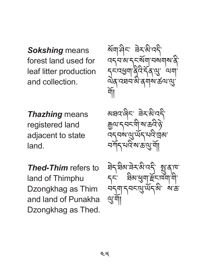*Sokshing* means forest land used for leaf litter production and collection.

*Thazhing* means registered land adjacent to state land.

*Thed-Thim* refers to land of Thimphu Dzongkhag as Thim and land of Punakha Dzongkhag as Thed.

ষ্মিমাণ্ড্ৰীমান্ত্ৰী ک سامسہ آتھ تحکیل ہی ہے کہ، དང་འཕྱག་ནིའི་དན་ལུ་ ལག་ ོ wg xxx a qupa ou y གོ།

 $\alpha$ ar $\alpha$ iq $\alpha$   $\alpha$ ยิ๊เก ปารูสโต ตั้ง จิ  $\sim$ བཀོད་པའི་ས་ཆ་ལུ་གོ།

ষণ্যন্ত্রনন্দর্প গ্রন্থ 7 ม<sub>ิ</sub>ก สตสูป ธัตลง ๆ หวังไว้ ว่า ซึ่ง และ ལུ་གོ།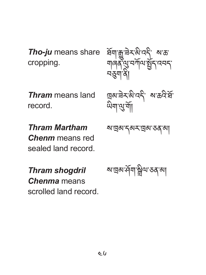*Tho-ju* means share cropping.

*Thram* means land record.

*Thram Martham Chenm* means red sealed land record.

*Thram shogdril Chenma* means scrolled land record. ସ୍ୟା ଆ ଏଏଏି ଏବ المهبراتي ساالهم المحاملة নত্ত

 $\frac{10}{2}$  and  $\frac{10}{2}$   $\frac{10}{2}$   $\frac{10}{2}$   $\frac{10}{2}$ <u>୴୴</u>ଞ୍ଜ୍ୟ କା

ས་ཁྲམ་དམར་ཁྲམ་ཅན་མ།

ས་ཁྲམ་ཤོག་སྒྲིལ་ཅན་མ།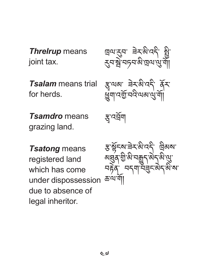*Threlrup* means joint tax.

*Tsalam* means trial for herds.

*Tsamdro* means grazing land.

ཁྲལ་རུབ་ ཟེར་མི་འདི་ སྤྱི་ རུབ་སྦེ་བཏབ་མི་ཁྲལ་ལུ་གོ།

 $3^{49}$   $\approx$   $3^{49}$   $\frac{1}{2}$ ཕྱུག་འགྱོ་བའི་ལམ་ལུ་གོ།

স্ত্ৰ'বৰ্ষ্ম

*Tsatong* means registered land which has come under dispossession due to absence of legal inheritor.

ङ्गङ्गेन्द्रु चेन्द्र में दर् <u>અંસુ</u>વ રાજ્ય મશુન અનુ જ સુ <u>าธุ์</u>จักรรม คราย อารา ཆ་ལ་གོ།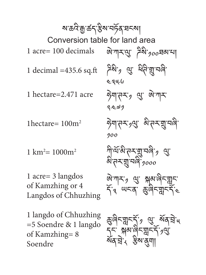<u>ଊୖ</u>ୄ୕୴୲୴ୖ୵ୡୖଽ୶<sub>୵୵୰</sub>ଌ୶୴ ্ষিষ<sub>্য</sub> থ্ৰু ধ্বীত্মুব্ৰী ༤༣༥.༦ ঈশানম*,* থ্ৰাজ্যামা ༢.༤༧༡ ཧེག་ཊར་༡ལུ་ མི་ཊར་གྲུ་བཞི་ ༡༠༠ শীশর্মজী'ন-মন্মু'নাৰী'<sub>?</sub> থ্র' ৯°ন-মুম্বৰ <sub>1000</sub> ୁ ଆଧ୍ୟ ଖୁବ୍ଦ ଜିଲ୍ଲା ጎ<sup>3</sup> ୴ୀ ଝୁଖ<sup>ୁ</sup>ଣ୍ଡା ক্তুৰীনম্ননৰ্মী<sub>য়</sub> থ্ৰা ৰ্মন্মীয় <u>ጏ</u>፦ ୁକ୍ଷି 'ଖୁ' ଶୁ' ଗୁ' ମୁଝ শব্যৰ কম্পুশ∥ Conversion table for land area ষ্য ক্ৰবিদ্ৰু ৰ্ক্তন'ষ্ট্ৰষ্ম মৰ্টিক'ষ কা 1 acre= 100 decimals 1 decimal =435.6 sq.ft 1 hectare=2.471 acre 1hectare=  $100m^2$  $1 \text{ km}^2 = 1000 \text{m}^2$ 1 acre= 3 langdos of Kamzhing or 4 Langdos of Chhuzhing 1 langdo of Chhuzhing =5 Soendre & 1 langdo of Kamzhing= 8 Soendre